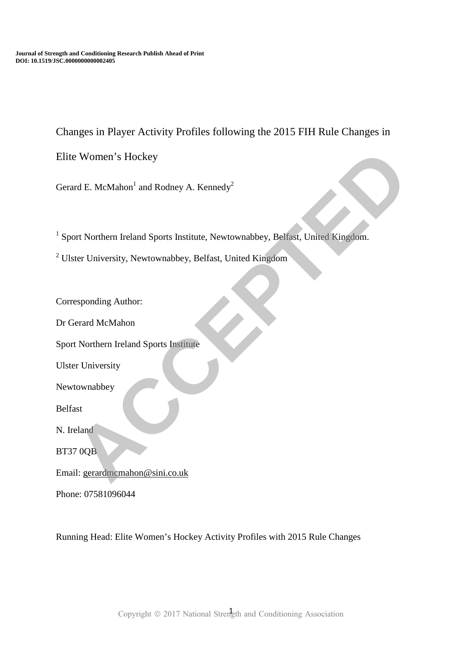Changes in Player Activity Profiles following the 2015 FIH Rule Changes in

Elite Women's Hockey

Gerard E. McMahon<sup>1</sup> and Rodney A. Kennedy<sup>2</sup>

<sup>1</sup> Sport Northern Ireland Sports Institute, Newtownabbey, Belfast, United Kingdom. e Women's Hockey<br>
ard E. McMahon' and Rodney A. Kennedy<sup>2</sup><br>
cort Northern Ireland Sports Institute, Newtownabbey, Belfast, United Kingdom.<br>
Acter University, Newtownabbey, Belfast, United Kingdom<br>
exponding Author:<br>
Fierar

<sup>2</sup> Ulster University, Newtownabbey, Belfast, United Kingdom

Corresponding Author:

Dr Gerard McMahon

Sport Northern Ireland Sports Institute

Ulster University

Newtownabbey

Belfast

N. Ireland

BT37 0QB

Email: gerardmcmahon@sini.co.uk

Phone: 07581096044

Running Head: Elite Women's Hockey Activity Profiles with 2015 Rule Changes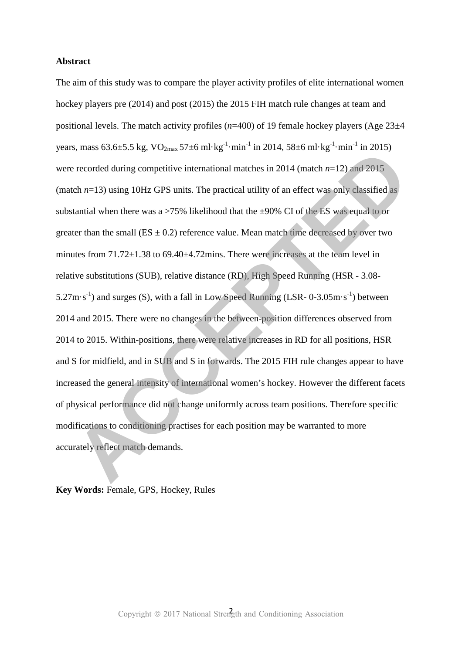# **Abstract**

The aim of this study was to compare the player activity profiles of elite international women hockey players pre (2014) and post (2015) the 2015 FIH match rule changes at team and positional levels. The match activity profiles (*n*=400) of 19 female hockey players (Age 23±4 years, mass  $63.6 \pm 5.5$  kg,  $VO_{2max}$   $57 \pm 6$  ml·kg<sup>-1</sup>·min<sup>-1</sup> in 2014,  $58 \pm 6$  ml·kg<sup>-1</sup>·min<sup>-1</sup> in 2015) were recorded during competitive international matches in 2014 (match *n*=12) and 2015 (match  $n=13$ ) using 10Hz GPS units. The practical utility of an effect was only classified as substantial when there was a  $>75\%$  likelihood that the  $\pm 90\%$  CI of the ES was equal to or greater than the small ( $ES \pm 0.2$ ) reference value. Mean match time decreased by over two minutes from 71.72±1.38 to 69.40±4.72mins. There were increases at the team level in relative substitutions (SUB), relative distance (RD), High Speed Running (HSR - 3.08-  $5.27 \text{m} \cdot \text{s}^{-1}$ ) and surges (S), with a fall in Low Speed Running (LSR- 0-3.05 $\text{m} \cdot \text{s}^{-1}$ ) between 2014 and 2015. There were no changes in the between-position differences observed from 2014 to 2015. Within-positions, there were relative increases in RD for all positions, HSR and S for midfield, and in SUB and S in forwards. The 2015 FIH rule changes appear to have increased the general intensity of international women's hockey. However the different facets of physical performance did not change uniformly across team positions. Therefore specific modifications to conditioning practises for each position may be warranted to more accurately reflect match demands. **Example 10** and 2015. We also to the space of the space of the space of the space of the space of the space of the space of the space of the space of the space of the space of the space of the space of the space of the sp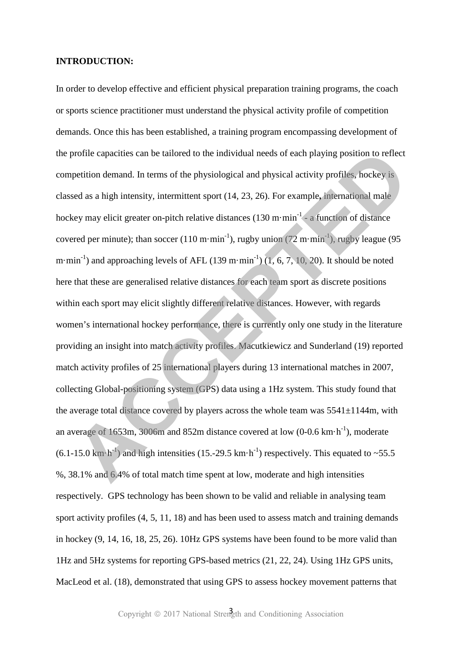### **INTRODUCTION:**

In order to develop effective and efficient physical preparation training programs, the coach or sports science practitioner must understand the physical activity profile of competition demands. Once this has been established, a training program encompassing development of the profile capacities can be tailored to the individual needs of each playing position to reflect competition demand. In terms of the physiological and physical activity profiles, hockey is classed as a high intensity, intermittent sport (14, 23, 26). For example**,** international male hockey may elicit greater on-pitch relative distances (130 m·min<sup>-1</sup> - a function of distance covered per minute); than soccer (110 m·min<sup>-1</sup>), rugby union (72 m·min<sup>-1</sup>), rugby league (95 m·min<sup>-1</sup>) and approaching levels of AFL (139 m·min<sup>-1</sup>) (1, 6, 7, 10, 20). It should be noted here that these are generalised relative distances for each team sport as discrete positions within each sport may elicit slightly different relative distances. However, with regards women's international hockey performance, there is currently only one study in the literature providing an insight into match activity profiles. Macutkiewicz and Sunderland (19) reported match activity profiles of 25 international players during 13 international matches in 2007, collecting Global-positioning system (GPS) data using a 1Hz system. This study found that the average total distance covered by players across the whole team was  $5541 \pm 1144$ m, with an average of 1653m, 3006m and 852m distance covered at low  $(0-0.6 \text{ km} \cdot \text{h}^{-1})$ , moderate  $(6.1\n-15.0 \text{ km} \cdot \text{h}^{-1})$  and high intensities (15.-29.5 km $\cdot \text{h}^{-1}$ ) respectively. This equated to ~55.5 %, 38.1% and 6.4% of total match time spent at low, moderate and high intensities respectively. GPS technology has been shown to be valid and reliable in analysing team sport activity profiles (4, 5, 11, 18) and has been used to assess match and training demands in hockey (9, 14, 16, 18, 25, 26). 10Hz GPS systems have been found to be more valid than 1Hz and 5Hz systems for reporting GPS-based metrics (21, 22, 24). Using 1Hz GPS units, MacLeod et al. (18), demonstrated that using GPS to assess hockey movement patterns that profile capacities can be tailored to the individual needs of each playing position to reflect<br>petition demund. In terms of the physiological and physical activity profiles, hockey is<br>sed as a high intensity, intermittent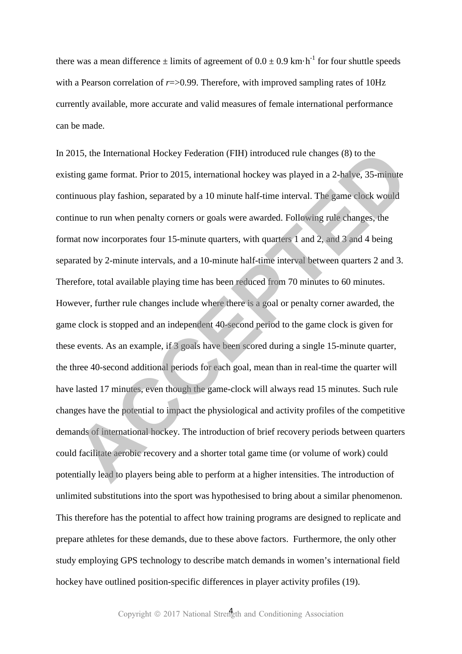there was a mean difference  $\pm$  limits of agreement of 0.0  $\pm$  0.9 km·h<sup>-1</sup> for four shuttle speeds with a Pearson correlation of  $r = > 0.99$ . Therefore, with improved sampling rates of 10Hz currently available, more accurate and valid measures of female international performance can be made.

In 2015, the International Hockey Federation (FIH) introduced rule changes (8) to the existing game format. Prior to 2015, international hockey was played in a 2-halve, 35-minute continuous play fashion, separated by a 10 minute half-time interval. The game clock would continue to run when penalty corners or goals were awarded. Following rule changes, the format now incorporates four 15-minute quarters, with quarters 1 and 2, and 3 and 4 being separated by 2-minute intervals, and a 10-minute half-time interval between quarters 2 and 3. Therefore, total available playing time has been reduced from 70 minutes to 60 minutes. However, further rule changes include where there is a goal or penalty corner awarded, the game clock is stopped and an independent 40-second period to the game clock is given for these events. As an example, if 3 goals have been scored during a single 15-minute quarter, the three 40-second additional periods for each goal, mean than in real-time the quarter will have lasted 17 minutes, even though the game-clock will always read 15 minutes. Such rule changes have the potential to impact the physiological and activity profiles of the competitive demands of international hockey. The introduction of brief recovery periods between quarters could facilitate aerobic recovery and a shorter total game time (or volume of work) could potentially lead to players being able to perform at a higher intensities. The introduction of unlimited substitutions into the sport was hypothesised to bring about a similar phenomenon. This therefore has the potential to affect how training programs are designed to replicate and prepare athletes for these demands, due to these above factors. Furthermore, the only other study employing GPS technology to describe match demands in women's international field hockey have outlined position-specific differences in player activity profiles (19). 015, the International Hockey Federation (FIH) introduced rule changes (8) to the<br>ting game formut. Prior to 2015, international hockey was played in a 2-bialve, 35-minute<br>intous play fashion, separated by a 10 minute half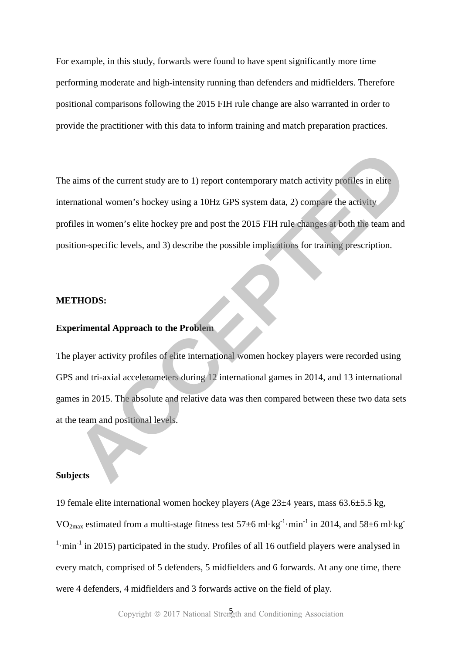For example, in this study, forwards were found to have spent significantly more time performing moderate and high-intensity running than defenders and midfielders. Therefore positional comparisons following the 2015 FIH rule change are also warranted in order to provide the practitioner with this data to inform training and match preparation practices.

The aims of the current study are to 1) report contemporary match activity profiles in elite international women's hockey using a 10Hz GPS system data, 2) compare the activity profiles in women's elite hockey pre and post the 2015 FIH rule changes at both the team and position-specific levels, and 3) describe the possible implications for training prescription. aims of the current study are to 1) report contemporary match activity profiles in elite<br>mational women's hockey using a 10Hz GPS system data, 2) compare the activity<br>alles in women's elite hockey pre and post the 2015 FIH

#### **METHODS:**

# **Experimental Approach to the Problem**

The player activity profiles of elite international women hockey players were recorded using GPS and tri-axial accelerometers during 12 international games in 2014, and 13 international games in 2015. The absolute and relative data was then compared between these two data sets at the team and positional levels.

#### **Subjects**

19 female elite international women hockey players (Age 23±4 years, mass 63.6±5.5 kg, VO<sub>2max</sub> estimated from a multi-stage fitness test  $57\pm6$  ml·kg<sup>-1</sup>·min<sup>-1</sup> in 2014, and  $58\pm6$  ml·kg<sup>-1</sup>  $1$ ·min<sup>-1</sup> in 2015) participated in the study. Profiles of all 16 outfield players were analysed in every match, comprised of 5 defenders, 5 midfielders and 6 forwards. At any one time, there were 4 defenders, 4 midfielders and 3 forwards active on the field of play.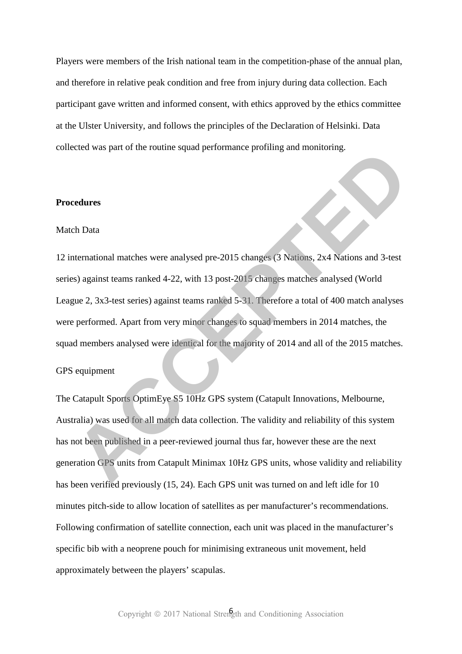Players were members of the Irish national team in the competition-phase of the annual plan, and therefore in relative peak condition and free from injury during data collection. Each participant gave written and informed consent, with ethics approved by the ethics committee at the Ulster University, and follows the principles of the Declaration of Helsinki. Data collected was part of the routine squad performance profiling and monitoring.

### **Procedures**

### Match Data

12 international matches were analysed pre-2015 changes (3 Nations, 2x4 Nations and 3-test series) against teams ranked 4-22, with 13 post-2015 changes matches analysed (World League 2, 3x3-test series) against teams ranked 5-31. Therefore a total of 400 match analyses were performed. Apart from very minor changes to squad members in 2014 matches, the squad members analysed were identical for the majority of 2014 and all of the 2015 matches. ected was part of the Founde squad performance pronung and monitoring.<br>
Accretives<br>
Accretives<br>
Accretives analysed pre-2015 changes (3 Nations, 2x4 Nations and 3-test<br>
Accretives) against teams ranked 4-22, with 13 post-2

#### GPS equipment

The Catapult Sports OptimEye S5 10Hz GPS system (Catapult Innovations, Melbourne, Australia) was used for all match data collection. The validity and reliability of this system has not been published in a peer-reviewed journal thus far, however these are the next generation GPS units from Catapult Minimax 10Hz GPS units, whose validity and reliability has been verified previously (15, 24). Each GPS unit was turned on and left idle for 10 minutes pitch-side to allow location of satellites as per manufacturer's recommendations. Following confirmation of satellite connection, each unit was placed in the manufacturer's specific bib with a neoprene pouch for minimising extraneous unit movement, held approximately between the players' scapulas.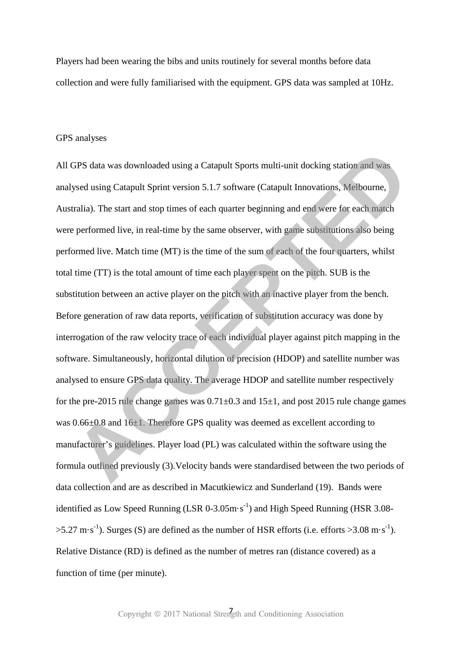Players had been wearing the bibs and units routinely for several months before data collection and were fully familiarised with the equipment. GPS data was sampled at 10Hz.

### GPS analyses

All GPS data was downloaded using a Catapult Sports multi-unit docking station and was analysed using Catapult Sprint version 5.1.7 software (Catapult Innovations, Melbourne, Australia). The start and stop times of each quarter beginning and end were for each match were performed live, in real-time by the same observer, with game substitutions also being performed live. Match time (MT) is the time of the sum of each of the four quarters, whilst total time (TT) is the total amount of time each player spent on the pitch. SUB is the substitution between an active player on the pitch with an inactive player from the bench. Before generation of raw data reports, verification of substitution accuracy was done by interrogation of the raw velocity trace of each individual player against pitch mapping in the software. Simultaneously, horizontal dilution of precision (HDOP) and satellite number was analysed to ensure GPS data quality. The average HDOP and satellite number respectively for the pre-2015 rule change games was  $0.71 \pm 0.3$  and  $15 \pm 1$ , and post 2015 rule change games was  $0.66\pm0.8$  and  $16\pm1$ . Therefore GPS quality was deemed as excellent according to manufacturer's guidelines. Player load (PL) was calculated within the software using the formula outlined previously (3).Velocity bands were standardised between the two periods of data collection and are as described in Macutkiewicz and Sunderland (19). Bands were identified as Low Speed Running (LSR  $0-3.05$ m·s<sup>-1</sup>) and High Speed Running (HSR 3.08- $>5.27$  m·s<sup>-1</sup>). Surges (S) are defined as the number of HSR efforts (i.e. efforts  $>3.08$  m·s<sup>-1</sup>). Relative Distance (RD) is defined as the number of metres ran (distance covered) as a function of time (per minute). GPS data was downloaded using a Catapult Sports multi-unit docking station and was<br>ysed using Catapult Sprint version 5.1.7 software (Catapult Innovations, Melbourne,<br>tralia). The start and stop times of each quarter begin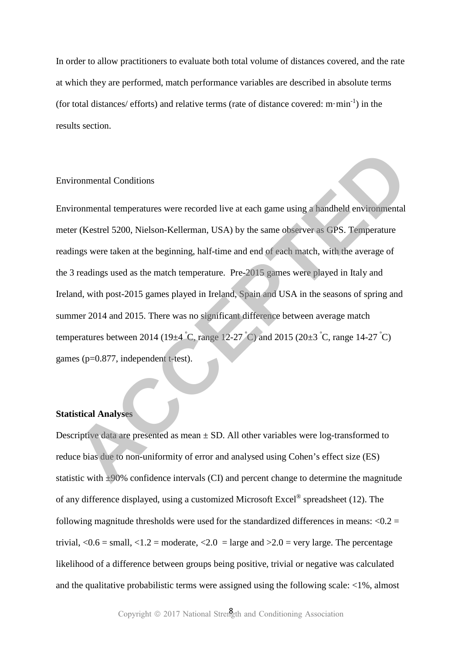In order to allow practitioners to evaluate both total volume of distances covered, and the rate at which they are performed, match performance variables are described in absolute terms (for total distances/ efforts) and relative terms (rate of distance covered:  $m \cdot min^{-1}$ ) in the results section.

### Environmental Conditions

Environmental temperatures were recorded live at each game using a handheld environmental meter (Kestrel 5200, Nielson-Kellerman, USA) by the same observer as GPS. Temperature readings were taken at the beginning, half-time and end of each match, with the average of the 3 readings used as the match temperature. Pre-2015 games were played in Italy and Ireland, with post-2015 games played in Ireland, Spain and USA in the seasons of spring and summer 2014 and 2015. There was no significant difference between average match temperatures between 2014 (19 $\pm$ 4 °C, range 12-27 °C) and 2015 (20 $\pm$ 3 °C, range 14-27 °C) games (p=0.877, independent t-test). ironmental Conditions<br>
ironmental temperatures were recorded live at each game using a handheld environmental<br>  $\text{tr}(\text{Kestrel } 5200, \text{Nielson-Kellerman}, \text{USA})$  by the same observer as GPS. Temperature<br>
ings were taken at the beginning

# **Statistical Analyses**

Descriptive data are presented as mean  $\pm$  SD. All other variables were log-transformed to reduce bias due to non-uniformity of error and analysed using Cohen's effect size (ES) statistic with ±90% confidence intervals (CI) and percent change to determine the magnitude of any difference displayed, using a customized Microsoft Excel<sup>®</sup> spreadsheet (12). The following magnitude thresholds were used for the standardized differences in means:  $\langle 0.2 =$ trivial,  $\langle 0.6 = \text{small}, \langle 1.2 = \text{moderate}, \langle 2.0 = \text{large} \text{ and } \rangle$  = 2.0 = very large. The percentage likelihood of a difference between groups being positive, trivial or negative was calculated and the qualitative probabilistic terms were assigned using the following scale: <1%, almost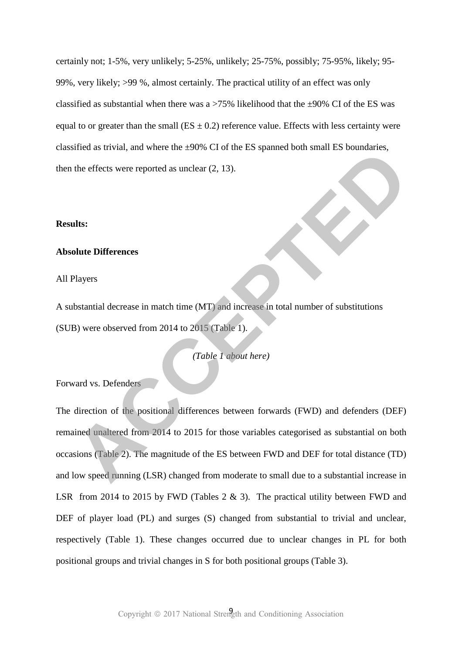certainly not; 1-5%, very unlikely; 5-25%, unlikely; 25-75%, possibly; 75-95%, likely; 95- 99%, very likely; >99 %, almost certainly. The practical utility of an effect was only classified as substantial when there was a  $>75\%$  likelihood that the  $\pm 90\%$  CI of the ES was equal to or greater than the small ( $ES \pm 0.2$ ) reference value. Effects with less certainty were classified as trivial, and where the ±90% CI of the ES spanned both small ES boundaries, then the effects were reported as unclear (2, 13).

### **Results:**

# **Absolute Differences**

### All Players

A substantial decrease in match time (MT) and increase in total number of substitutions (SUB) were observed from 2014 to 2015 (Table 1).

*(Table 1 about here)* 

Forward vs. Defenders

The direction of the positional differences between forwards (FWD) and defenders (DEF) remained unaltered from 2014 to 2015 for those variables categorised as substantial on both occasions (Table 2). The magnitude of the ES between FWD and DEF for total distance (TD) and low speed running (LSR) changed from moderate to small due to a substantial increase in LSR from 2014 to 2015 by FWD (Tables  $2 \& 3$ ). The practical utility between FWD and DEF of player load (PL) and surges (S) changed from substantial to trivial and unclear, respectively (Table 1). These changes occurred due to unclear changes in PL for both positional groups and trivial changes in S for both positional groups (Table 3). Sheet as thrival, and where the *290* w C1 ot the *ES* spanned door shall *ES* boundaries,<br>the effects were reported as uncleur (2, 13).<br>**Acts**<br>this:<br>this:<br>this:<br> $\theta$ <br>where observed from 2014 to 2015 (Table 1).<br> $\theta$ <br>and vs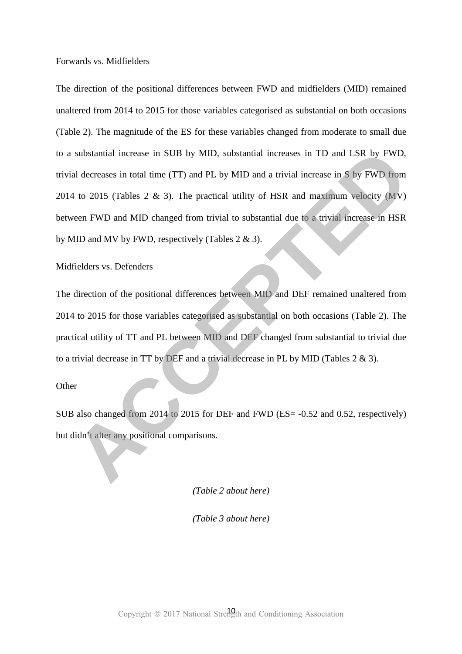Forwards vs. Midfielders

The direction of the positional differences between FWD and midfielders (MID) remained unaltered from 2014 to 2015 for those variables categorised as substantial on both occasions (Table 2). The magnitude of the ES for these variables changed from moderate to small due to a substantial increase in SUB by MID, substantial increases in TD and LSR by FWD, trivial decreases in total time (TT) and PL by MID and a trivial increase in S by FWD from 2014 to 2015 (Tables 2 & 3). The practical utility of HSR and maximum velocity (MV) between FWD and MID changed from trivial to substantial due to a trivial increase in HSR by MID and MV by FWD, respectively (Tables 2 & 3). substantial increase in SUB by MID, substantial increases in TD and LSR by FWD,<br>al decreases in total time (TT) and PL by MID and a trivial increase in S by FWD from<br>4 to 2015 (Tables 2 & 3). The practical utility of HSR a

Midfielders vs. Defenders

The direction of the positional differences between MID and DEF remained unaltered from 2014 to 2015 for those variables categorised as substantial on both occasions (Table 2). The practical utility of TT and PL between MID and DEF changed from substantial to trivial due to a trivial decrease in TT by DEF and a trivial decrease in PL by MID (Tables 2 & 3).

## **Other**

SUB also changed from 2014 to 2015 for DEF and FWD (ES= -0.52 and 0.52, respectively) but didn't alter any positional comparisons.

*(Table 2 about here)* 

*(Table 3 about here)*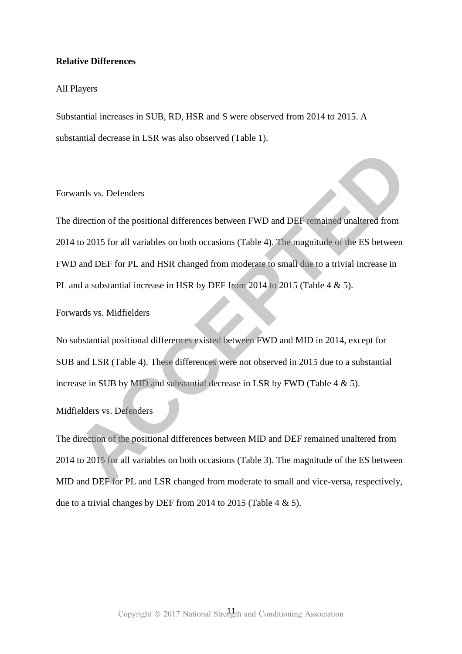### **Relative Differences**

### All Players

Substantial increases in SUB, RD, HSR and S were observed from 2014 to 2015. A substantial decrease in LSR was also observed (Table 1).

# Forwards vs. Defenders

The direction of the positional differences between FWD and DEF remained unaltered from 2014 to 2015 for all variables on both occasions (Table 4). The magnitude of the ES between FWD and DEF for PL and HSR changed from moderate to small due to a trivial increase in PL and a substantial increase in HSR by DEF from 2014 to 2015 (Table 4 & 5). Forwards vs. Defenders<br>The direction of the positional differences between FWD and DEF remained unaltered from<br>2014 to 2015 for all variables on both occasions (Table 4). The magnitude of the ES between<br>FWD and DEF for PL

Forwards vs. Midfielders

No substantial positional differences existed between FWD and MID in 2014, except for SUB and LSR (Table 4). These differences were not observed in 2015 due to a substantial increase in SUB by MID and substantial decrease in LSR by FWD (Table  $4 \& 5$ ).

# Midfielders vs. Defenders

The direction of the positional differences between MID and DEF remained unaltered from 2014 to 2015 for all variables on both occasions (Table 3). The magnitude of the ES between MID and DEF for PL and LSR changed from moderate to small and vice-versa, respectively, due to a trivial changes by DEF from 2014 to 2015 (Table 4  $\&$  5).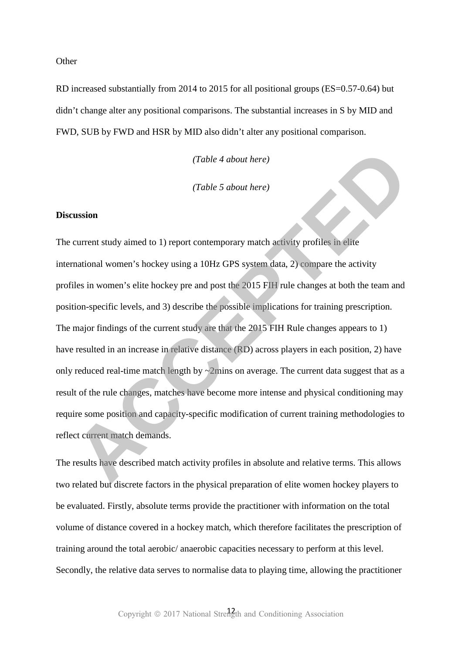**Other** 

RD increased substantially from 2014 to 2015 for all positional groups (ES=0.57-0.64) but didn't change alter any positional comparisons. The substantial increases in S by MID and FWD, SUB by FWD and HSR by MID also didn't alter any positional comparison.

*(Table 4 about here)* 

*(Table 5 about here)* 

# **Discussion**

The current study aimed to 1) report contemporary match activity profiles in elite international women's hockey using a 10Hz GPS system data, 2) compare the activity profiles in women's elite hockey pre and post the 2015 FIH rule changes at both the team and position-specific levels, and 3) describe the possible implications for training prescription. The major findings of the current study are that the 2015 FIH Rule changes appears to 1) have resulted in an increase in relative distance (RD) across players in each position, 2) have only reduced real-time match length by  $\sim$ 2mins on average. The current data suggest that as a result of the rule changes, matches have become more intense and physical conditioning may require some position and capacity-specific modification of current training methodologies to reflect current match demands. Table 4 about here)<br>
Table 5 about here)<br> **ACCEPTE ACCEPTE CONDITE:**<br>
Table 5 about here)<br>
Table 5 about here)<br>
Table 5 about here)<br>
Table 5 about here)<br>
Table 5 about here)<br>
Table 1 activity profiles in either<br>
Table cons

The results have described match activity profiles in absolute and relative terms. This allows two related but discrete factors in the physical preparation of elite women hockey players to be evaluated. Firstly, absolute terms provide the practitioner with information on the total volume of distance covered in a hockey match, which therefore facilitates the prescription of training around the total aerobic/ anaerobic capacities necessary to perform at this level. Secondly, the relative data serves to normalise data to playing time, allowing the practitioner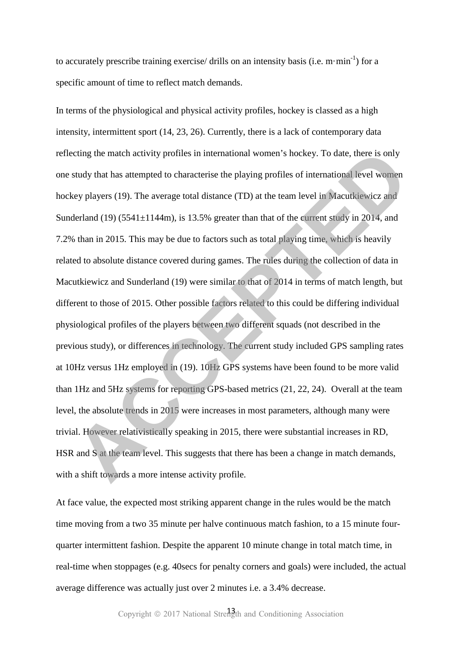to accurately prescribe training exercise/ drills on an intensity basis (i.e.  $m \cdot min^{-1}$ ) for a specific amount of time to reflect match demands.

In terms of the physiological and physical activity profiles, hockey is classed as a high intensity, intermittent sport (14, 23, 26). Currently, there is a lack of contemporary data reflecting the match activity profiles in international women's hockey. To date, there is only one study that has attempted to characterise the playing profiles of international level women hockey players (19). The average total distance (TD) at the team level in Macutkiewicz and Sunderland (19) (5541 $\pm$ 1144m), is 13.5% greater than that of the current study in 2014, and 7.2% than in 2015. This may be due to factors such as total playing time, which is heavily related to absolute distance covered during games. The rules during the collection of data in Macutkiewicz and Sunderland (19) were similar to that of 2014 in terms of match length, but different to those of 2015. Other possible factors related to this could be differing individual physiological profiles of the players between two different squads (not described in the previous study), or differences in technology. The current study included GPS sampling rates at 10Hz versus 1Hz employed in (19). 10Hz GPS systems have been found to be more valid than 1Hz and 5Hz systems for reporting GPS-based metrics (21, 22, 24). Overall at the team level, the absolute trends in 2015 were increases in most parameters, although many were trivial. However relativistically speaking in 2015, there were substantial increases in RD, HSR and S at the team level. This suggests that there has been a change in match demands, with a shift towards a more intense activity profile. cring the match activity profiles in international women's hockey. To date, there is only<br>study that has attempted to characterise the playing profiles of international level women<br>exy players (19). The average total dista

At face value, the expected most striking apparent change in the rules would be the match time moving from a two 35 minute per halve continuous match fashion, to a 15 minute fourquarter intermittent fashion. Despite the apparent 10 minute change in total match time, in real-time when stoppages (e.g. 40secs for penalty corners and goals) were included, the actual average difference was actually just over 2 minutes i.e. a 3.4% decrease.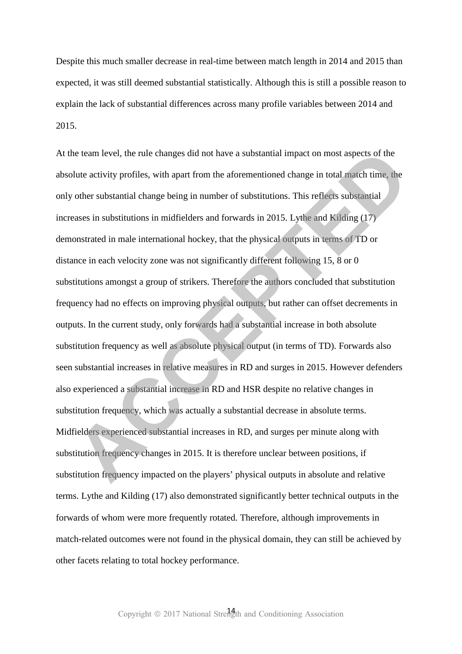Despite this much smaller decrease in real-time between match length in 2014 and 2015 than expected, it was still deemed substantial statistically. Although this is still a possible reason to explain the lack of substantial differences across many profile variables between 2014 and 2015.

At the team level, the rule changes did not have a substantial impact on most aspects of the absolute activity profiles, with apart from the aforementioned change in total match time, the only other substantial change being in number of substitutions. This reflects substantial increases in substitutions in midfielders and forwards in 2015. Lythe and Kilding (17) demonstrated in male international hockey, that the physical outputs in terms of TD or distance in each velocity zone was not significantly different following 15, 8 or 0 substitutions amongst a group of strikers. Therefore the authors concluded that substitution frequency had no effects on improving physical outputs, but rather can offset decrements in outputs. In the current study, only forwards had a substantial increase in both absolute substitution frequency as well as absolute physical output (in terms of TD). Forwards also seen substantial increases in relative measures in RD and surges in 2015. However defenders also experienced a substantial increase in RD and HSR despite no relative changes in substitution frequency, which was actually a substantial decrease in absolute terms. Midfielders experienced substantial increases in RD, and surges per minute along with substitution frequency changes in 2015. It is therefore unclear between positions, if substitution frequency impacted on the players' physical outputs in absolute and relative terms. Lythe and Kilding (17) also demonstrated significantly better technical outputs in the forwards of whom were more frequently rotated. Therefore, although improvements in match-related outcomes were not found in the physical domain, they can still be achieved by other facets relating to total hockey performance. the team level, the rule changes did not have a substantial impact on most aspects of the<br>blute activity profiles, with apart from the aforementioned change in total match time, the<br>other substantial change being in number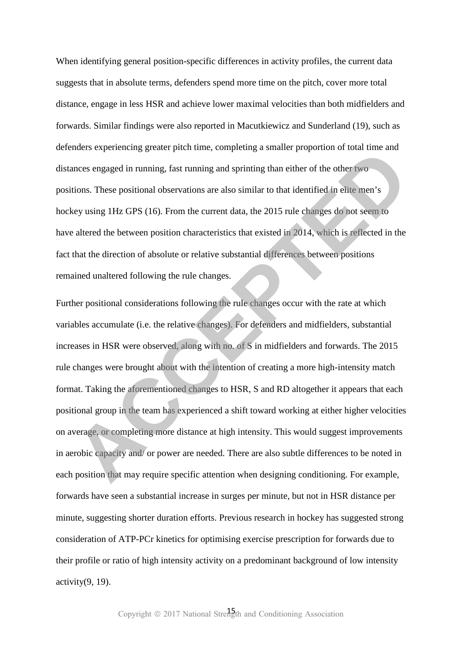When identifying general position-specific differences in activity profiles, the current data suggests that in absolute terms, defenders spend more time on the pitch, cover more total distance, engage in less HSR and achieve lower maximal velocities than both midfielders and forwards. Similar findings were also reported in Macutkiewicz and Sunderland (19), such as defenders experiencing greater pitch time, completing a smaller proportion of total time and distances engaged in running, fast running and sprinting than either of the other two positions. These positional observations are also similar to that identified in elite men's hockey using 1Hz GPS (16). From the current data, the 2015 rule changes do not seem to have altered the between position characteristics that existed in 2014, which is reflected in the fact that the direction of absolute or relative substantial differences between positions remained unaltered following the rule changes.

Further positional considerations following the rule changes occur with the rate at which variables accumulate (i.e. the relative changes). For defenders and midfielders, substantial increases in HSR were observed, along with no. of S in midfielders and forwards. The 2015 rule changes were brought about with the intention of creating a more high-intensity match format. Taking the aforementioned changes to HSR, S and RD altogether it appears that each positional group in the team has experienced a shift toward working at either higher velocities on average, or completing more distance at high intensity. This would suggest improvements in aerobic capacity and/ or power are needed. There are also subtle differences to be noted in each position that may require specific attention when designing conditioning. For example, forwards have seen a substantial increase in surges per minute, but not in HSR distance per minute, suggesting shorter duration efforts. Previous research in hockey has suggested strong consideration of ATP-PCr kinetics for optimising exercise prescription for forwards due to their profile or ratio of high intensity activity on a predominant background of low intensity  $activity(9, 19)$ . moets experiencing greater pucti unie, competing a sinauter proportion or total unie and<br>ances engaged in running, fast running and sprinting than either of the other two<br>bions. These positional observations are also simil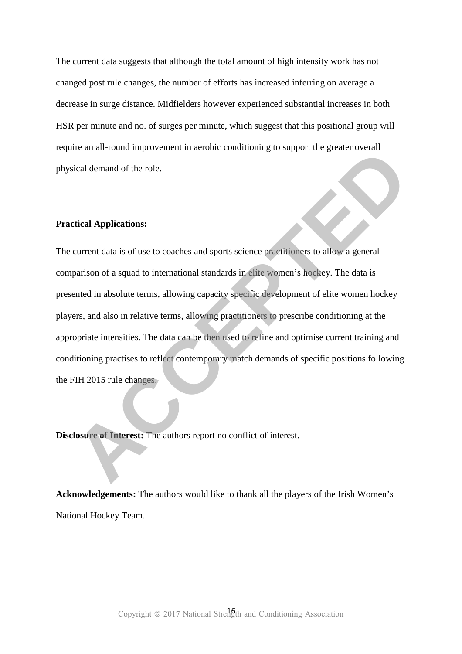The current data suggests that although the total amount of high intensity work has not changed post rule changes, the number of efforts has increased inferring on average a decrease in surge distance. Midfielders however experienced substantial increases in both HSR per minute and no. of surges per minute, which suggest that this positional group will require an all-round improvement in aerobic conditioning to support the greater overall physical demand of the role.

### **Practical Applications:**

The current data is of use to coaches and sports science practitioners to allow a general comparison of a squad to international standards in elite women's hockey. The data is presented in absolute terms, allowing capacity specific development of elite women hockey players, and also in relative terms, allowing practitioners to prescribe conditioning at the appropriate intensities. The data can be then used to refine and optimise current training and conditioning practises to reflect contemporary match demands of specific positions following the FIH 2015 rule changes. First an al-Found improvement in aerobic condutioning to support the greater overall<br>
Accel demand of the role.<br> **ACCEPTED**<br> **ACCEPTED**<br> **ACCEPTED**<br> **ACCEPTED**<br> **ACCEPTED**<br> **ACCEPTED**<br> **ACCEPTED**<br> **ACCEPTED**<br> **ACCEPTED**<br>

**Disclosure of Interest:** The authors report no conflict of interest.

**Acknowledgements:** The authors would like to thank all the players of the Irish Women's National Hockey Team.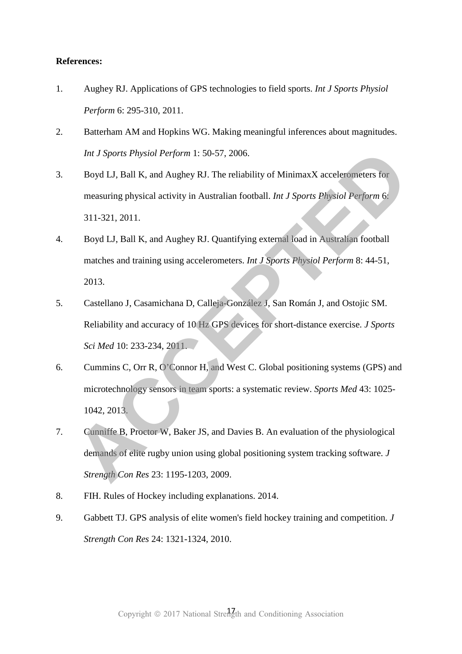# **References:**

- 1. Aughey RJ. Applications of GPS technologies to field sports. *Int J Sports Physiol Perform* 6: 295-310, 2011.
- 2. Batterham AM and Hopkins WG. Making meaningful inferences about magnitudes. *Int J Sports Physiol Perform* 1: 50-57, 2006.
- 3. Boyd LJ, Ball K, and Aughey RJ. The reliability of MinimaxX accelerometers for measuring physical activity in Australian football. *Int J Sports Physiol Perform* 6: 311-321, 2011.
- 4. Boyd LJ, Ball K, and Aughey RJ. Quantifying external load in Australian football matches and training using accelerometers. *Int J Sports Physiol Perform* 8: 44-51, 2013.
- 5. Castellano J, Casamichana D, Calleja-González J, San Román J, and Ostojic SM. Reliability and accuracy of 10 Hz GPS devices for short-distance exercise. *J Sports Sci Med* 10: 233-234, 2011.
- 6. Cummins C, Orr R, O'Connor H, and West C. Global positioning systems (GPS) and microtechnology sensors in team sports: a systematic review. *Sports Med* 43: 1025- 1042, 2013.
- 7. Cunniffe B, Proctor W, Baker JS, and Davies B. An evaluation of the physiological demands of elite rugby union using global positioning system tracking software. *J Strength Con Res* 23: 1195-1203, 2009. *Int J Sports Physiol Perform* 1: 50-57, 2006.<br>
Boyd LJ, Ball K, and Aughey RJ. The reliability of MinimaxX accelerometers for<br>
measuring physical activity in Australian football. *Int J Sports Physiol Perform* 6:<br>
311-321
- 8. FIH. Rules of Hockey including explanations. 2014.
- 9. Gabbett TJ. GPS analysis of elite women's field hockey training and competition. *J Strength Con Res* 24: 1321-1324, 2010.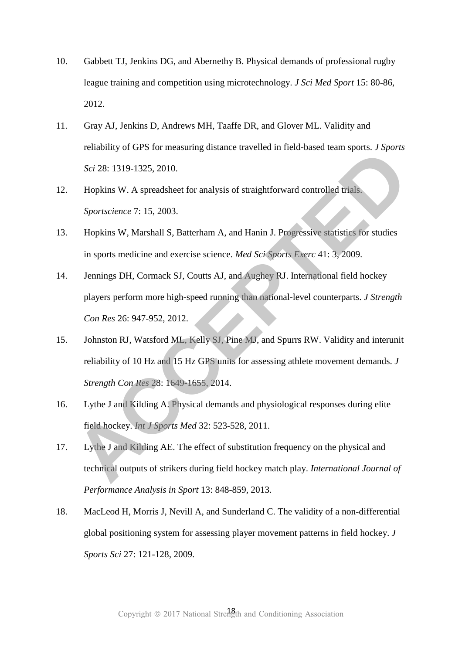- 10. Gabbett TJ, Jenkins DG, and Abernethy B. Physical demands of professional rugby league training and competition using microtechnology. *J Sci Med Sport* 15: 80-86, 2012.
- 11. Gray AJ, Jenkins D, Andrews MH, Taaffe DR, and Glover ML. Validity and reliability of GPS for measuring distance travelled in field-based team sports. *J Sports Sci* 28: 1319-1325, 2010.
- 12. Hopkins W. A spreadsheet for analysis of straightforward controlled trials. *Sportscience* 7: 15, 2003.
- 13. Hopkins W, Marshall S, Batterham A, and Hanin J. Progressive statistics for studies in sports medicine and exercise science. *Med Sci Sports Exerc* 41: 3, 2009.
- 14. Jennings DH, Cormack SJ, Coutts AJ, and Aughey RJ. International field hockey players perform more high-speed running than national-level counterparts. *J Strength Con Res* 26: 947-952, 2012. renaomy of Or-S for measuring distance traveled in neta-based eam spons. *S sports*<br>
Scr<sup>2</sup> 28: 1319-1325, 2010.<br> **Hopkins W. A spreadsheet for analysis of straightforward controlled trials.**<br> *Sportscience* 7: 15, 2003.<br>
- 15. Johnston RJ, Watsford ML, Kelly SJ, Pine MJ, and Spurrs RW. Validity and interunit reliability of 10 Hz and 15 Hz GPS units for assessing athlete movement demands. *J Strength Con Res* 28: 1649-1655, 2014.
- 16. Lythe J and Kilding A. Physical demands and physiological responses during elite field hockey. *Int J Sports Med* 32: 523-528, 2011.
- 17. Lythe J and Kilding AE. The effect of substitution frequency on the physical and technical outputs of strikers during field hockey match play. *International Journal of Performance Analysis in Sport* 13: 848-859, 2013.
- 18. MacLeod H, Morris J, Nevill A, and Sunderland C. The validity of a non-differential global positioning system for assessing player movement patterns in field hockey. *J Sports Sci* 27: 121-128, 2009.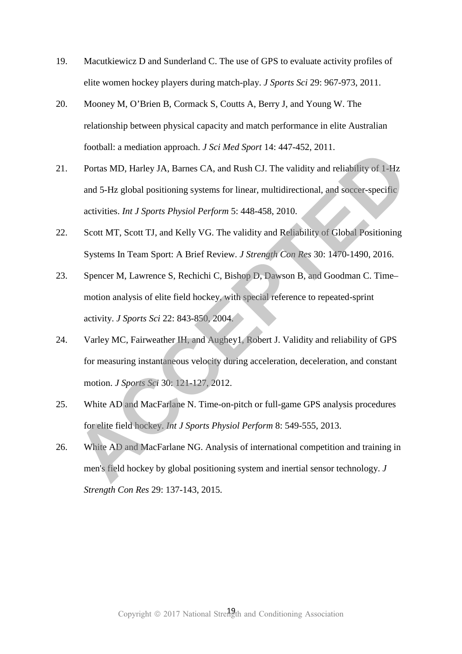- 19. Macutkiewicz D and Sunderland C. The use of GPS to evaluate activity profiles of elite women hockey players during match-play. *J Sports Sci* 29: 967-973, 2011.
- 20. Mooney M, O'Brien B, Cormack S, Coutts A, Berry J, and Young W. The relationship between physical capacity and match performance in elite Australian football: a mediation approach. *J Sci Med Sport* 14: 447-452, 2011.
- 21. Portas MD, Harley JA, Barnes CA, and Rush CJ. The validity and reliability of 1-Hz and 5-Hz global positioning systems for linear, multidirectional, and soccer-specific activities. *Int J Sports Physiol Perform* 5: 448-458, 2010. **Example 20:** and anomal approach. *S Scribted Sport* 14: 447-452, 2011.<br> **Portas MD, Harley JA, Barnes CA, and Rush CJ. The validity and reliability of 1-Hz and 5-Hz global positioning systems for linear, multidirectional**
- 22. Scott MT, Scott TJ, and Kelly VG. The validity and Reliability of Global Positioning Systems In Team Sport: A Brief Review. *J Strength Con Res* 30: 1470-1490, 2016.
- 23. Spencer M, Lawrence S, Rechichi C, Bishop D, Dawson B, and Goodman C. Time– motion analysis of elite field hockey, with special reference to repeated-sprint activity. *J Sports Sci* 22: 843-850, 2004.
- 24. Varley MC, Fairweather IH, and Aughey1, Robert J. Validity and reliability of GPS for measuring instantaneous velocity during acceleration, deceleration, and constant motion. *J Sports Sci* 30: 121-127, 2012.
- 25. White AD and MacFarlane N. Time-on-pitch or full-game GPS analysis procedures for elite field hockey. *Int J Sports Physiol Perform* 8: 549-555, 2013.
- 26. White AD and MacFarlane NG. Analysis of international competition and training in men's field hockey by global positioning system and inertial sensor technology. *J*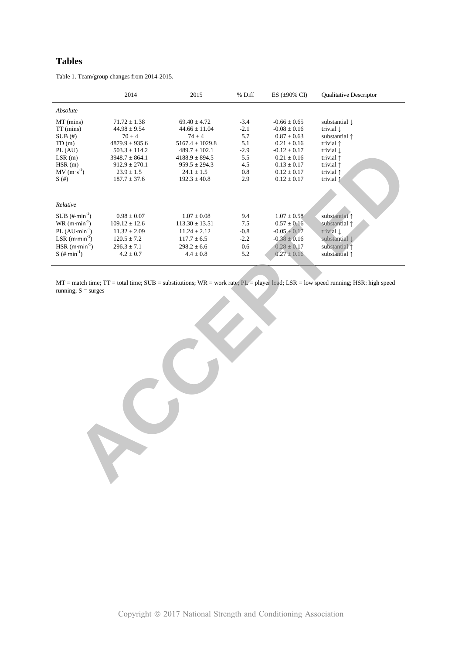# **Tables**

|                              | 2014               | 2015                | % Diff | ES $(\pm 90\% \text{ CI})$ | Qualitative Descriptor   |
|------------------------------|--------------------|---------------------|--------|----------------------------|--------------------------|
| Absolute                     |                    |                     |        |                            |                          |
| MT (mins)                    | $71.72 \pm 1.38$   | $69.40 \pm 4.72$    | $-3.4$ | $-0.66 \pm 0.65$           | substantial $\downarrow$ |
| TT (mins)                    | $44.98 \pm 9.54$   | $44.66 \pm 11.04$   | $-2.1$ | $-0.08\pm0.16$             | trivial $\downarrow$     |
| SUB(#)                       | $70 \pm 4$         | $74 \pm 4$          | 5.7    | $0.87 \pm 0.63$            | substantial 1            |
| TD(m)                        | $4879.9 \pm 935.6$ | $5167.4 \pm 1029.8$ | 5.1    | $0.21 \pm 0.16$            | trivial $\uparrow$       |
| PL (AU)                      | $503.3 \pm 114.2$  | $489.7 \pm 102.1$   | $-2.9$ | $-0.12 \pm 0.17$           | trivial $\downarrow$     |
| LSR(m)                       | $3948.7 \pm 864.1$ | $4188.9 \pm 894.5$  | 5.5    | $0.21 \pm 0.16$            | trivial $\uparrow$       |
| HSR(m)                       | $912.9 \pm 270.1$  | $959.5 \pm 294.3$   | 4.5    | $0.13 \pm 0.17$            | trivial $\uparrow$       |
| $MV(m·s-1)$                  | $23.9 \pm 1.5$     | $24.1 \pm 1.5$      | 0.8    | $0.12 \pm 0.17$            | trivial $\uparrow$       |
| S(#)                         | $187.7 \pm 37.6$   | $192.3 \pm 40.8$    | 2.9    | $0.12 \pm 0.17$            | trivial $\uparrow$       |
| Relative                     |                    |                     |        |                            |                          |
| $SUB (+min-1)$               | $0.98 \pm 0.07$    | $1.07 \pm 0.08$     | 9.4    | $1.07 \pm 0.58$            | substantial 1            |
| $WR$ (m·min <sup>-1</sup> )  | $109.12 \pm 12.6$  | $113.30 \pm 13.51$  | $7.5$  | $0.57 \pm 0.16$            | substantial 1            |
| PL $(AU \cdot min^{-1})$     | $11.32 \pm 2.09$   | $11.24 \pm 2.12$    | $-0.8$ | $-0.05 \pm 0.17$           | trivial $\downarrow$     |
| LSR $(m \cdot min^{-1})$     | $120.5 \pm 7.2$    | $117.7 \pm 6.5$     | $-2.2$ | $-0.38 \pm 0.16$           | substantial $\downarrow$ |
| $HSR$ (m·min <sup>-1</sup> ) | $296.3 \pm 7.1$    | $298.2 \pm 6.6$     | 0.6    | $0.28\pm0.17$              | substantial 1            |
| S $(\# \cdot \text{min}^1)$  | $4.2 \pm 0.7$      | $4.4\pm0.8$         | 5.2    | $0.27 \pm 0.16$            | substantial 1            |
|                              |                    |                     |        |                            |                          |
|                              |                    |                     |        |                            |                          |
|                              |                    |                     |        |                            |                          |
|                              |                    |                     |        |                            |                          |
|                              |                    |                     |        |                            |                          |
|                              |                    |                     |        |                            |                          |
|                              |                    |                     |        |                            |                          |
|                              |                    |                     |        |                            |                          |
|                              |                    |                     |        |                            |                          |
|                              |                    |                     |        |                            |                          |
|                              |                    |                     |        |                            |                          |
|                              |                    |                     |        |                            |                          |
|                              |                    |                     |        |                            |                          |

Table 1. Team/group changes from 2014-2015.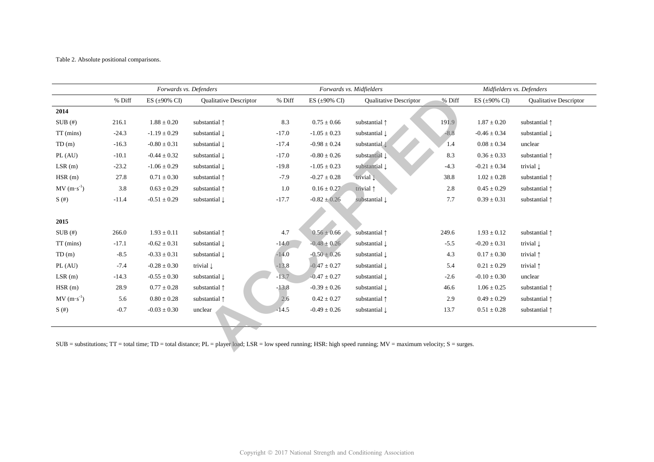Table 2. Absolute positional comparisons.

|         |                     | Forwards vs. Defenders   |         | Forwards vs. Midfielders   |                          | Midfielders vs. Defenders |                            |                                                                                                                                                                                 |
|---------|---------------------|--------------------------|---------|----------------------------|--------------------------|---------------------------|----------------------------|---------------------------------------------------------------------------------------------------------------------------------------------------------------------------------|
| % Diff  | ES ( $\pm 90\%$ CI) | Qualitative Descriptor   | % Diff  | ES $(\pm 90\% \text{ CI})$ | Qualitative Descriptor   | % Diff                    | ES $(\pm 90\% \text{ CI})$ | <b>Qualitative Descriptor</b>                                                                                                                                                   |
|         |                     |                          |         |                            |                          |                           |                            |                                                                                                                                                                                 |
| 216.1   | $1.88 \pm 0.20$     | substantial 1            | 8.3     | $0.75 \pm 0.66$            | substantial 1            | 191.9                     | $1.87 \pm 0.20$            | substantial 1                                                                                                                                                                   |
| $-24.3$ | $-1.19\pm0.29$      | substantial $\downarrow$ | $-17.0$ | $-1.05 \pm 0.23$           | substantial $\downarrow$ | $-8.8$                    | $-0.46 \pm 0.34$           | substantial $\downarrow$                                                                                                                                                        |
| $-16.3$ | $-0.80 \pm 0.31$    | substantial $\downarrow$ | $-17.4$ | $-0.98 \pm 0.24$           | substantial $\downarrow$ | 1.4                       | $0.08 \pm 0.34$            | unclear                                                                                                                                                                         |
| $-10.1$ | $-0.44 \pm 0.32$    | substantial $\downarrow$ | $-17.0$ | $-0.80 \pm 0.26$           | substantial Į            | 8.3                       | $0.36 \pm 0.33$            | substantial 1                                                                                                                                                                   |
| $-23.2$ | $-1.06 \pm 0.29$    | substantial $\downarrow$ | $-19.8$ | $-1.05 \pm 0.23$           | substantial $\downarrow$ | $-4.3$                    | $-0.21 \pm 0.34$           | trivial $\downarrow$                                                                                                                                                            |
| 27.8    | $0.71 \pm 0.30$     | substantial 1            | $-7.9$  | $-0.27 \pm 0.28$           | trivial $\downarrow$     | 38.8                      | $1.02 \pm 0.28$            | substantial 1                                                                                                                                                                   |
| 3.8     | $0.63 \pm 0.29$     | substantial 1            | 1.0     | $0.16 \pm 0.27$            | trivial 1                | 2.8                       | $0.45 \pm 0.29$            | substantial 1                                                                                                                                                                   |
| $-11.4$ | $-0.51 \pm 0.29$    | substantial $\downarrow$ | $-17.7$ | $-0.82 \pm 0.26$           | substantial $\downarrow$ | 7.7                       | $0.39 \pm 0.31$            | substantial 1                                                                                                                                                                   |
|         |                     |                          |         |                            |                          |                           |                            |                                                                                                                                                                                 |
|         |                     |                          |         |                            |                          |                           |                            |                                                                                                                                                                                 |
| 266.0   | $1.93 \pm 0.11$     | substantial 1            | 4.7     | $0.56 \pm 0.66$            | substantial 1            | 249.6                     | $1.93 \pm 0.12$            | substantial 1                                                                                                                                                                   |
| $-17.1$ | $-0.62 \pm 0.31$    | substantial $\downarrow$ | $-14.0$ | $-0.48 \pm 0.26$           | substantial $\downarrow$ | $-5.5$                    | $-0.20 \pm 0.31$           | trivial $\downarrow$                                                                                                                                                            |
| $-8.5$  | $-0.33 \pm 0.31$    | substantial $\downarrow$ | $-14.0$ | $-0.50 \pm 0.26$           | substantial $\downarrow$ | 4.3                       | $0.17 \pm 0.30$            | trivial 1                                                                                                                                                                       |
| $-7.4$  | $-0.28 \pm 0.30$    | trivial $\downarrow$     | $-13.8$ | $-0.47 \pm 0.27$           | substantial $\downarrow$ | 5.4                       | $0.21 \pm 0.29$            | trivial $\uparrow$                                                                                                                                                              |
| $-14.3$ | $-0.55 \pm 0.30$    | substantial $\downarrow$ | $-13.7$ | $-0.47 \pm 0.27$           | substantial $\downarrow$ | $-2.6$                    | $-0.10 \pm 0.30$           | unclear                                                                                                                                                                         |
| 28.9    | $0.77 \pm 0.28$     | substantial 1            | $-13.8$ | $-0.39 \pm 0.26$           | substantial $\downarrow$ | 46.6                      | $1.06 \pm 0.25$            | substantial 1                                                                                                                                                                   |
| 5.6     | $0.80 \pm 0.28$     | substantial $\uparrow$   | 2,6     | $0.42 \pm 0.27$            | substantial 1            | 2.9                       | $0.49 \pm 0.29$            | substantial 1                                                                                                                                                                   |
| $-0.7$  | $-0.03 \pm 0.30$    | unclear                  | $-14.5$ | $-0.49 \pm 0.26$           | substantial $\downarrow$ | 13.7                      | $0.51 \pm 0.28$            | substantial 1                                                                                                                                                                   |
|         |                     |                          |         |                            |                          |                           |                            |                                                                                                                                                                                 |
|         |                     |                          |         |                            |                          |                           |                            |                                                                                                                                                                                 |
|         |                     |                          |         |                            |                          |                           |                            |                                                                                                                                                                                 |
|         |                     |                          |         |                            |                          |                           |                            | $SUB =$ substitutions; $TT =$ total time; $TD =$ total distance; $PL =$ player load; $LSR =$ low speed running; HSR: high speed running; $MV =$ maximum velocity; $S =$ surges. |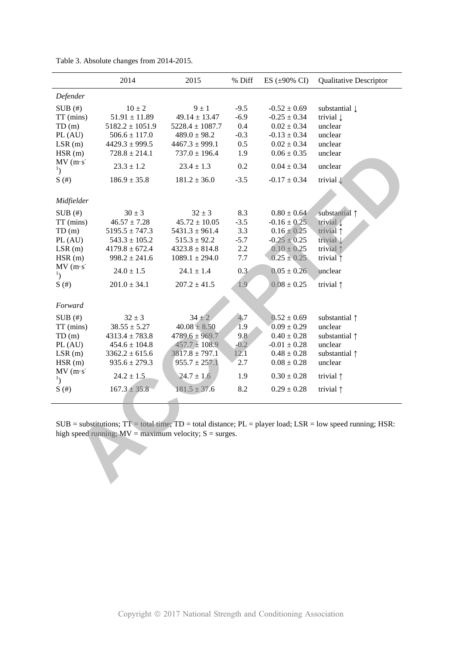|                                           | 2014                                                       | 2015                     | % Diff | ES $(\pm 90\% \text{ CI})$ | <b>Qualitative Descriptor</b>                                                                                                |
|-------------------------------------------|------------------------------------------------------------|--------------------------|--------|----------------------------|------------------------------------------------------------------------------------------------------------------------------|
| Defender                                  |                                                            |                          |        |                            |                                                                                                                              |
| SUB(#)                                    | $10 \pm 2$                                                 | $9 \pm 1$                | $-9.5$ | $-0.52 \pm 0.69$           | substantial $\downarrow$                                                                                                     |
| TT (mins)                                 | $51.91 \pm 11.89$                                          | $49.14 \pm 13.47$        | $-6.9$ | $-0.25 \pm 0.34$           | trivial $\downarrow$                                                                                                         |
| TD(m)                                     | $5182.2 \pm 1051.9$                                        | $5228.4 \pm 1087.7$      | 0.4    | $0.02 \pm 0.34$            | unclear                                                                                                                      |
| PL (AU)                                   | $506.6 \pm 117.0$                                          | $489.0 \pm 98.2$         | $-0.3$ | $-0.13 \pm 0.34$           | unclear                                                                                                                      |
| LSR(m)                                    | $4429.3 \pm 999.5$                                         | $4467.3 \pm 999.1$       | 0.5    | $0.02 \pm 0.34$            | unclear                                                                                                                      |
| HSR(m)                                    | $728.8 \pm 214.1$                                          | $737.0 \pm 196.4$        | 1.9    | $0.06 \pm 0.35$            | unclear                                                                                                                      |
| $MV(m·s-)$<br>$\mathbf{1}_{\mathcal{L}}$  | $23.3 \pm 1.2$                                             | $23.4 \pm 1.3$           | 0.2    | $0.04 \pm 0.34$            | unclear                                                                                                                      |
| S(#)                                      | $186.9 \pm 35.8$                                           | $181.2 \pm 36.0$         | $-3.5$ | $-0.17 \pm 0.34$           | trivial $\downarrow$                                                                                                         |
|                                           |                                                            |                          |        |                            |                                                                                                                              |
| Midfielder                                |                                                            |                          |        |                            |                                                                                                                              |
| SUB(#)                                    | $30 \pm 3$                                                 | $32 \pm 3$               | 8.3    | $0.80 \pm 0.64$            | substantial 1                                                                                                                |
| TT (mins)                                 | $46.57 \pm 7.28$                                           | $45.72 \pm 10.05$        | $-3.5$ | $-0.16 \pm 0.25$           | trivial 1                                                                                                                    |
| TD(m)                                     | $5195.5 \pm 747.3$                                         | $5431.3 \pm 961.4$       | 3.3    | $0.16 \pm 0.25$            | trivial $\uparrow$                                                                                                           |
| PL (AU)                                   | $543.3 \pm 105.2$                                          | $515.3 \pm 92.2$         | $-5.7$ | $-0.25 \pm 0.25$           | trivial $\downarrow$                                                                                                         |
| LSR(m)                                    | $4179.8 \pm 672.4$                                         | $4323.8 \pm 814.8$       | 2.2    | $0.10 \pm 0.25$            | trivial $\uparrow$                                                                                                           |
| HSR(m)                                    | $998.2 \pm 241.6$                                          | $1089.1 \pm 294.0$       | 7.7    | $0.25 \pm 0.25$            | trivial $\uparrow$                                                                                                           |
| MV(m·s)<br>$\mathbf{1}_{\left( \right) }$ | $24.0 \pm 1.5$                                             | $24.1 \pm 1.4$           | 0.3    | $0.05 \pm 0.26$            | unclear                                                                                                                      |
| S(#)                                      | $201.0 \pm 34.1$                                           | $207.2 \pm 41.5$         | 1.9    | $0.08 \pm 0.25$            | trivial $\uparrow$                                                                                                           |
| Forward                                   |                                                            |                          |        |                            |                                                                                                                              |
|                                           |                                                            |                          |        |                            |                                                                                                                              |
| SUB(#)                                    | $32 \pm 3$                                                 | $34 \pm 2$               | 4.7    | $0.52 \pm 0.69$            | substantial $\uparrow$                                                                                                       |
| TT (mins)                                 | $38.55 \pm 5.27$                                           | $40.08 \pm 8.50$         | 1.9    | $0.09 \pm 0.29$            | unclear                                                                                                                      |
| TD(m)                                     | $4313.4 \pm 783.8$                                         | $4789.6 \pm 969.7$       | 9.8    | $0.40 \pm 0.28$            | substantial 1                                                                                                                |
| PL (AU)                                   | $454.6 \pm 104.8$                                          | $457.7 \pm 108.9$        | $-0.2$ | $-0.01 \pm 0.28$           | unclear                                                                                                                      |
| LSR(m)                                    | $3362.2 \pm 615.6$                                         | $3817.\bar{8} \pm 797.1$ | 12.1   | $0.48\pm0.28$              | substantial 1                                                                                                                |
| HSR(m)                                    | $935.6 \pm 279.3$                                          | $955.7 \pm 257.1$        | 2.7    | $0.08 \pm 0.28$            | unclear                                                                                                                      |
| MV(m·s)<br>$\mathbf{1}_{\mathcal{L}}$     | $24.2 \pm 1.5$                                             | $24.7 \pm 1.6$           | 1.9    | $0.30 \pm 0.28$            | trivial $\uparrow$                                                                                                           |
| S(#)                                      | $167.3 \pm 35.8$                                           | $181.5 \pm 37.6$         | 8.2    | $0.29 \pm 0.28$            | trivial $\uparrow$                                                                                                           |
|                                           |                                                            |                          |        |                            |                                                                                                                              |
|                                           |                                                            |                          |        |                            |                                                                                                                              |
|                                           |                                                            |                          |        |                            | $SUB = substitutions$ ; $TT = total time$ ; $TD = total distance$ ; $PL = player load$ ; $LSR = low speed running$ ; $HSR$ : |
|                                           | high speed running; $MV =$ maximum velocity; $S =$ surges. |                          |        |                            |                                                                                                                              |
|                                           |                                                            |                          |        |                            |                                                                                                                              |
|                                           |                                                            |                          |        |                            |                                                                                                                              |
|                                           |                                                            |                          |        |                            |                                                                                                                              |
|                                           |                                                            |                          |        |                            |                                                                                                                              |
|                                           |                                                            |                          |        |                            |                                                                                                                              |
|                                           |                                                            |                          |        |                            |                                                                                                                              |

Table 3. Absolute changes from 2014-2015.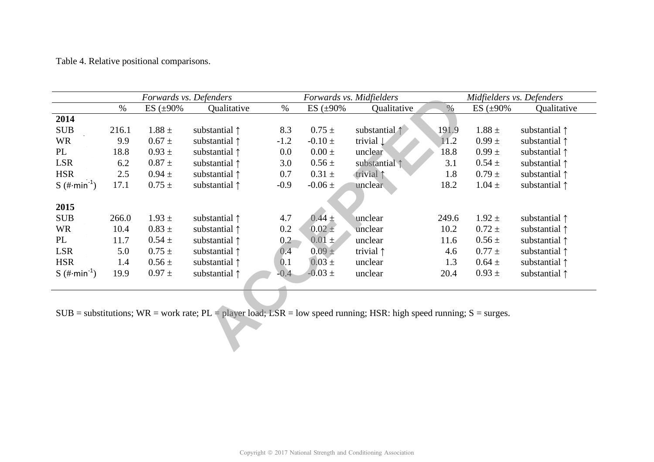Table 4. Relative positional comparisons.

|                         |       | Forwards vs. Defenders |                                                                                                                                       |        |                  | Forwards vs. Midfielders |       | Midfielders vs. Defenders |                        |
|-------------------------|-------|------------------------|---------------------------------------------------------------------------------------------------------------------------------------|--------|------------------|--------------------------|-------|---------------------------|------------------------|
|                         | $\%$  | ES $(\pm 90\%$         | Qualitative                                                                                                                           | $\%$   | ES $(\pm 90\%$   | Qualitative              | $\%$  | ES $(\pm 90\%$            | Qualitative            |
| 2014                    |       |                        |                                                                                                                                       |        |                  |                          |       |                           |                        |
| <b>SUB</b>              | 216.1 | $1.88 \pm$             | substantial $\uparrow$                                                                                                                | 8.3    | $0.75 \pm$       | substantial 1            | 191.9 | $1.88 \pm$                | substantial $\uparrow$ |
| <b>WR</b>               | 9.9   | $0.67 \pm$             | substantial $\uparrow$                                                                                                                | $-1.2$ | $-0.10 \pm$      | trivial $\downarrow$     | 11.2  | $0.99 \pm$                | substantial $\uparrow$ |
| PL                      | 18.8  | $0.93 \pm$             | substantial $\uparrow$                                                                                                                | 0.0    | $0.00 \pm$       | unclear                  | 18.8  | $0.99 \pm$                | substantial 1          |
| <b>LSR</b>              | 6.2   | $0.87 \pm$             | substantial $\uparrow$                                                                                                                | 3.0    | $0.56 \pm$       | substantial 1            | 3.1   | $0.54 \pm$                | substantial $\uparrow$ |
| <b>HSR</b>              | 2.5   | $0.94 \pm$             | substantial $\uparrow$                                                                                                                | 0.7    | $0.31 \pm$       | trivial 1                | 1.8   | $0.79 \pm$                | substantial $\uparrow$ |
| S $(\#\text{min}^{-1})$ | 17.1  | $0.75 \pm$             | substantial $\uparrow$                                                                                                                | $-0.9$ | $-0.06 \pm$      | unclear                  | 18.2  | $1.04 \pm$                | substantial $\uparrow$ |
| 2015                    |       |                        |                                                                                                                                       |        |                  |                          |       |                           |                        |
| <b>SUB</b>              | 266.0 | $1.93 \pm$             | substantial $\uparrow$                                                                                                                | 4.7    | $0.44 \pm$       | unclear                  | 249.6 | $1.92 \pm$                | substantial $\uparrow$ |
| <b>WR</b>               | 10.4  | $0.83 \pm$             | substantial $\uparrow$                                                                                                                | 0.2    | $0.02 \pm$       | unclear                  | 10.2  | $0.72 \pm$                | substantial $\uparrow$ |
| PL                      | 11.7  | $0.54 \pm$             | substantial 1                                                                                                                         | 0.2    | $0.01 \pm$       | unclear                  | 11.6  | $0.56 \pm$                | substantial 1          |
| <b>LSR</b>              | 5.0   | $0.75 \pm$             | substantial $\uparrow$                                                                                                                | 0.4    | $0.09 +$         | trivial $\uparrow$       | 4.6   | $0.77 \pm$                | substantial $\uparrow$ |
| <b>HSR</b>              | 1.4   | $0.56 \pm$             | substantial $\uparrow$                                                                                                                | 0.1    | $0.03 \pm$       | unclear                  | 1.3   | $0.64 \pm$                | substantial $\uparrow$ |
| S $(\#\text{min}^1)$    | 19.9  | $0.97 \pm$             | substantial $\uparrow$                                                                                                                | $-0.4$ | $-0.03 \pm 0.03$ | unclear                  | 20.4  | $0.93 \pm$                | substantial $\uparrow$ |
|                         |       |                        |                                                                                                                                       |        |                  |                          |       |                           |                        |
|                         |       |                        | $SUB = substitutions$ ; $WR = work$ rate; $PL = player load$ ; $LSR = low speed running$ ; $HSR$ : high speed running; $S = surges$ . |        |                  |                          |       |                           |                        |
|                         |       |                        |                                                                                                                                       |        |                  |                          |       |                           |                        |